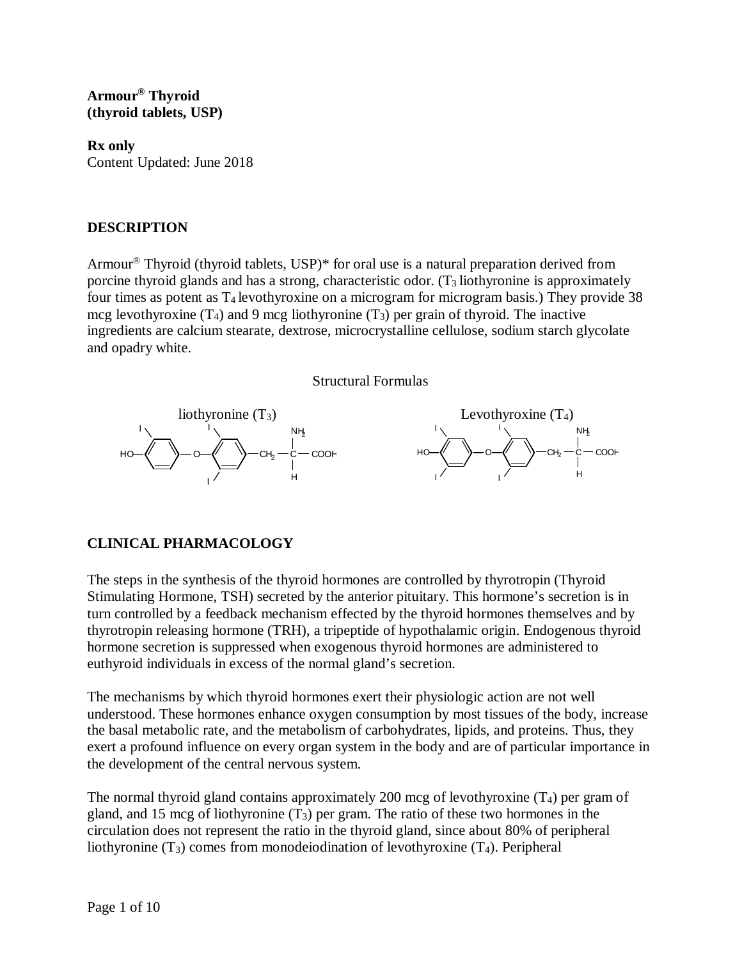### **Armour® Thyroid (thyroid tablets, USP)**

**Rx only** Content Updated: June 2018

### **DESCRIPTION**

Armour<sup>®</sup> Thyroid (thyroid tablets, USP)<sup>\*</sup> for oral use is a natural preparation derived from porcine thyroid glands and has a strong, characteristic odor.  $(T<sub>3</sub>$  liothyronine is approximately four times as potent as  $T_4$  levothyroxine on a microgram for microgram basis.) They provide 38 mcg levothyroxine  $(T_4)$  and 9 mcg liothyronine  $(T_3)$  per grain of thyroid. The inactive ingredients are calcium stearate, dextrose, microcrystalline cellulose, sodium starch glycolate and opadry white.

#### Structural Formulas



## **CLINICAL PHARMACOLOGY**

The steps in the synthesis of the thyroid hormones are controlled by thyrotropin (Thyroid Stimulating Hormone, TSH) secreted by the anterior pituitary. This hormone's secretion is in turn controlled by a feedback mechanism effected by the thyroid hormones themselves and by thyrotropin releasing hormone (TRH), a tripeptide of hypothalamic origin. Endogenous thyroid hormone secretion is suppressed when exogenous thyroid hormones are administered to euthyroid individuals in excess of the normal gland's secretion.

The mechanisms by which thyroid hormones exert their physiologic action are not well understood. These hormones enhance oxygen consumption by most tissues of the body, increase the basal metabolic rate, and the metabolism of carbohydrates, lipids, and proteins. Thus, they exert a profound influence on every organ system in the body and are of particular importance in the development of the central nervous system.

The normal thyroid gland contains approximately 200 mcg of levothyroxine  $(T_4)$  per gram of gland, and 15 mcg of liothyronine  $(T_3)$  per gram. The ratio of these two hormones in the circulation does not represent the ratio in the thyroid gland, since about 80% of peripheral liothyronine  $(T_3)$  comes from monodeiodination of levothyroxine  $(T_4)$ . Peripheral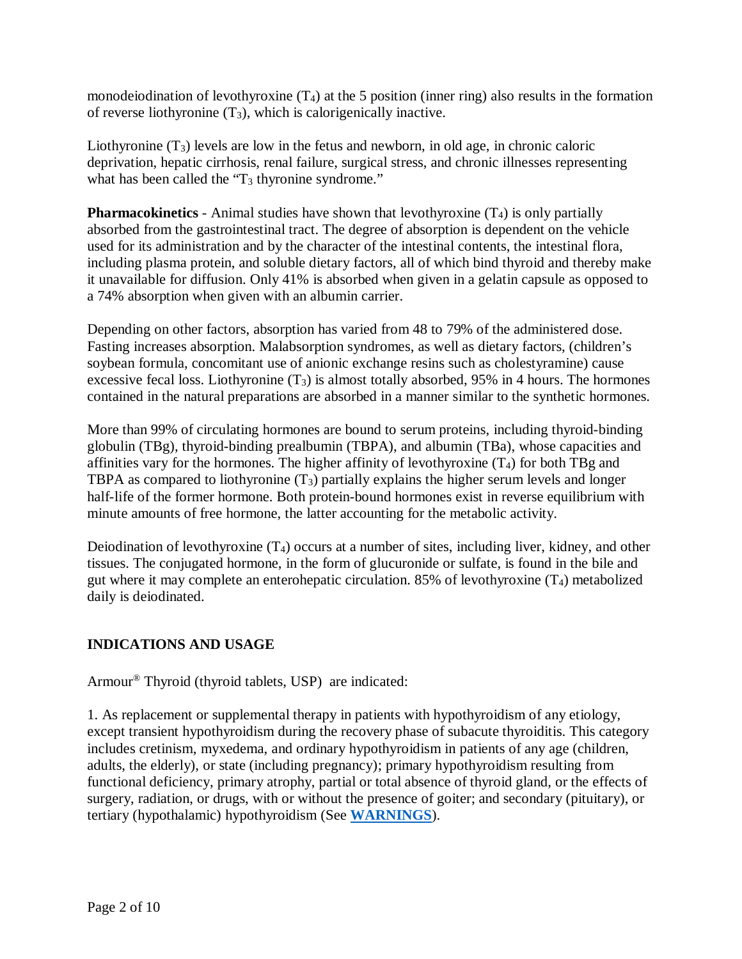monodeiodination of levothyroxine  $(T_4)$  at the 5 position (inner ring) also results in the formation of reverse liothyronine (T3), which is calorigenically inactive.

Liothyronine  $(T_3)$  levels are low in the fetus and newborn, in old age, in chronic caloric deprivation, hepatic cirrhosis, renal failure, surgical stress, and chronic illnesses representing what has been called the " $T_3$  thyronine syndrome."

**Pharmacokinetics** - Animal studies have shown that levothyroxine (T<sub>4</sub>) is only partially absorbed from the gastrointestinal tract. The degree of absorption is dependent on the vehicle used for its administration and by the character of the intestinal contents, the intestinal flora, including plasma protein, and soluble dietary factors, all of which bind thyroid and thereby make it unavailable for diffusion. Only 41% is absorbed when given in a gelatin capsule as opposed to a 74% absorption when given with an albumin carrier.

Depending on other factors, absorption has varied from 48 to 79% of the administered dose. Fasting increases absorption. Malabsorption syndromes, as well as dietary factors, (children's soybean formula, concomitant use of anionic exchange resins such as cholestyramine) cause excessive fecal loss. Liothyronine  $(T_3)$  is almost totally absorbed, 95% in 4 hours. The hormones contained in the natural preparations are absorbed in a manner similar to the synthetic hormones.

More than 99% of circulating hormones are bound to serum proteins, including thyroid-binding globulin (TBg), thyroid-binding prealbumin (TBPA), and albumin (TBa), whose capacities and affinities vary for the hormones. The higher affinity of levothyroxine  $(T_4)$  for both TBg and TBPA as compared to liothyronine  $(T_3)$  partially explains the higher serum levels and longer half-life of the former hormone. Both protein-bound hormones exist in reverse equilibrium with minute amounts of free hormone, the latter accounting for the metabolic activity.

Deiodination of levothyroxine  $(T_4)$  occurs at a number of sites, including liver, kidney, and other tissues. The conjugated hormone, in the form of glucuronide or sulfate, is found in the bile and gut where it may complete an enterohepatic circulation. 85% of levothyroxine (T4) metabolized daily is deiodinated.

## **INDICATIONS AND USAGE**

Armour® Thyroid (thyroid tablets, USP) are indicated:

1. As replacement or supplemental therapy in patients with hypothyroidism of any etiology, except transient hypothyroidism during the recovery phase of subacute thyroiditis. This category includes cretinism, myxedema, and ordinary hypothyroidism in patients of any age (children, adults, the elderly), or state (including pregnancy); primary hypothyroidism resulting from functional deficiency, primary atrophy, partial or total absence of thyroid gland, or the effects of surgery, radiation, or drugs, with or without the presence of goiter; and secondary (pituitary), or tertiary (hypothalamic) hypothyroidism (See **[WARNINGS](#page-2-0)**).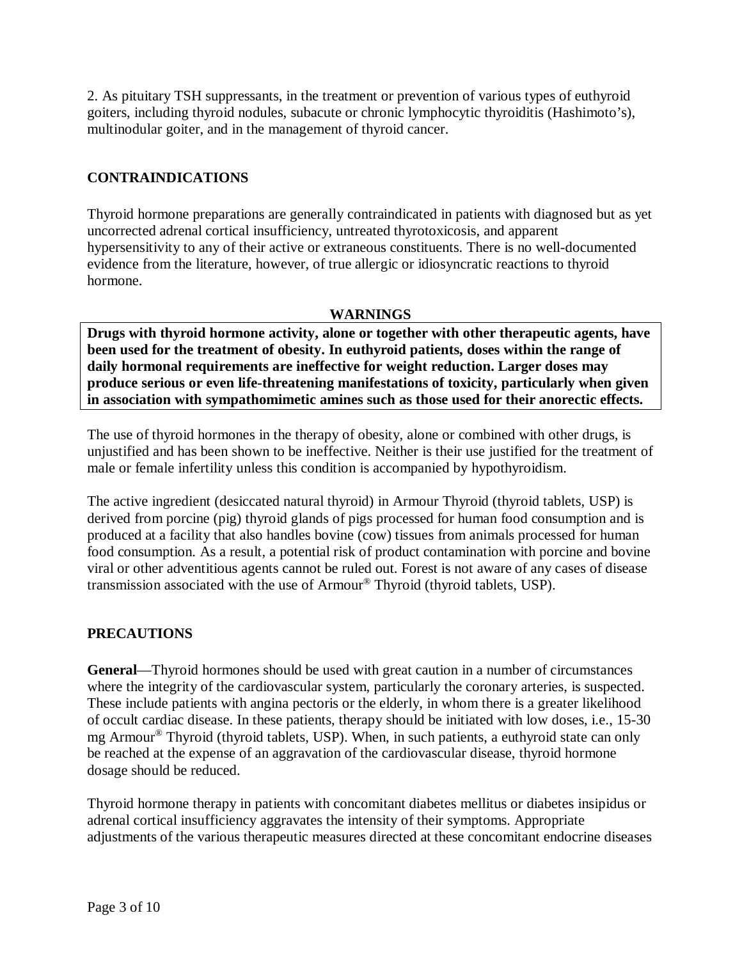2. As pituitary TSH suppressants, in the treatment or prevention of various types of euthyroid goiters, including thyroid nodules, subacute or chronic lymphocytic thyroiditis (Hashimoto's), multinodular goiter, and in the management of thyroid cancer.

## **CONTRAINDICATIONS**

Thyroid hormone preparations are generally contraindicated in patients with diagnosed but as yet uncorrected adrenal cortical insufficiency, untreated thyrotoxicosis, and apparent hypersensitivity to any of their active or extraneous constituents. There is no well-documented evidence from the literature, however, of true allergic or idiosyncratic reactions to thyroid hormone.

### **WARNINGS**

<span id="page-2-0"></span>**Drugs with thyroid hormone activity, alone or together with other therapeutic agents, have been used for the treatment of obesity. In euthyroid patients, doses within the range of daily hormonal requirements are ineffective for weight reduction. Larger doses may produce serious or even life-threatening manifestations of toxicity, particularly when given in association with sympathomimetic amines such as those used for their anorectic effects.**

The use of thyroid hormones in the therapy of obesity, alone or combined with other drugs, is unjustified and has been shown to be ineffective. Neither is their use justified for the treatment of male or female infertility unless this condition is accompanied by hypothyroidism.

The active ingredient (desiccated natural thyroid) in Armour Thyroid (thyroid tablets, USP) is derived from porcine (pig) thyroid glands of pigs processed for human food consumption and is produced at a facility that also handles bovine (cow) tissues from animals processed for human food consumption. As a result, a potential risk of product contamination with porcine and bovine viral or other adventitious agents cannot be ruled out. Forest is not aware of any cases of disease transmission associated with the use of Armour® Thyroid (thyroid tablets, USP).

### **PRECAUTIONS**

**General**—Thyroid hormones should be used with great caution in a number of circumstances where the integrity of the cardiovascular system, particularly the coronary arteries, is suspected. These include patients with angina pectoris or the elderly, in whom there is a greater likelihood of occult cardiac disease. In these patients, therapy should be initiated with low doses, i.e., 15-30 mg Armour® Thyroid (thyroid tablets, USP). When, in such patients, a euthyroid state can only be reached at the expense of an aggravation of the cardiovascular disease, thyroid hormone dosage should be reduced.

Thyroid hormone therapy in patients with concomitant diabetes mellitus or diabetes insipidus or adrenal cortical insufficiency aggravates the intensity of their symptoms. Appropriate adjustments of the various therapeutic measures directed at these concomitant endocrine diseases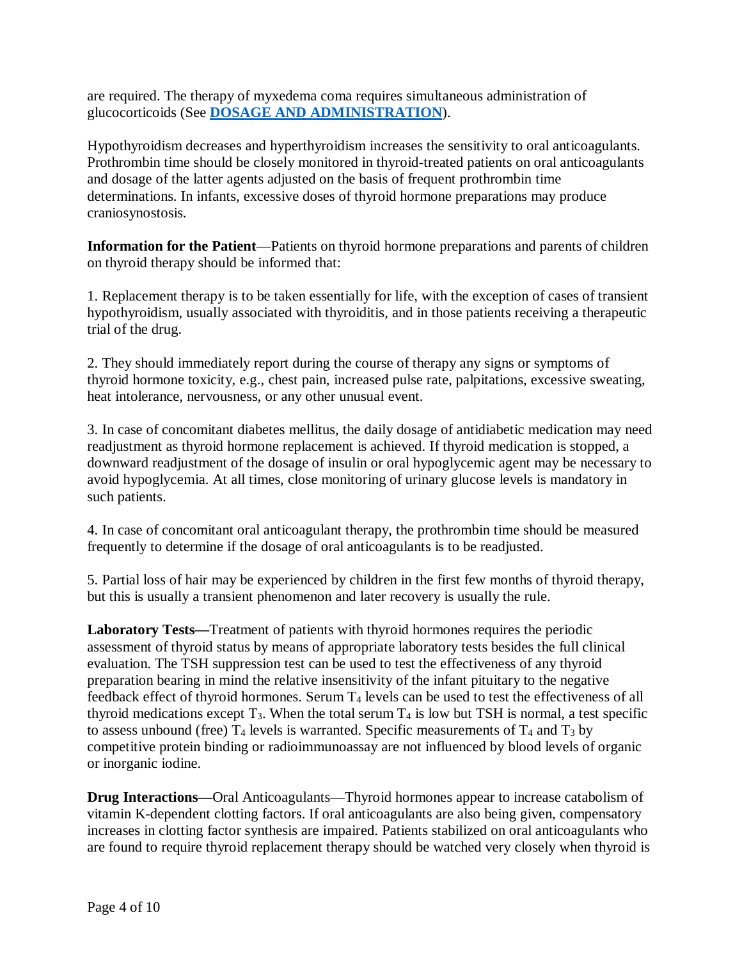are required. The therapy of myxedema coma requires simultaneous administration of glucocorticoids (See **[DOSAGE AND ADMINISTRATION](#page-6-0)**).

Hypothyroidism decreases and hyperthyroidism increases the sensitivity to oral anticoagulants. Prothrombin time should be closely monitored in thyroid-treated patients on oral anticoagulants and dosage of the latter agents adjusted on the basis of frequent prothrombin time determinations. In infants, excessive doses of thyroid hormone preparations may produce craniosynostosis.

**Information for the Patient**—Patients on thyroid hormone preparations and parents of children on thyroid therapy should be informed that:

1. Replacement therapy is to be taken essentially for life, with the exception of cases of transient hypothyroidism, usually associated with thyroiditis, and in those patients receiving a therapeutic trial of the drug.

2. They should immediately report during the course of therapy any signs or symptoms of thyroid hormone toxicity, e.g., chest pain, increased pulse rate, palpitations, excessive sweating, heat intolerance, nervousness, or any other unusual event.

3. In case of concomitant diabetes mellitus, the daily dosage of antidiabetic medication may need readjustment as thyroid hormone replacement is achieved. If thyroid medication is stopped, a downward readjustment of the dosage of insulin or oral hypoglycemic agent may be necessary to avoid hypoglycemia. At all times, close monitoring of urinary glucose levels is mandatory in such patients.

4. In case of concomitant oral anticoagulant therapy, the prothrombin time should be measured frequently to determine if the dosage of oral anticoagulants is to be readjusted.

5. Partial loss of hair may be experienced by children in the first few months of thyroid therapy, but this is usually a transient phenomenon and later recovery is usually the rule.

**Laboratory Tests—**Treatment of patients with thyroid hormones requires the periodic assessment of thyroid status by means of appropriate laboratory tests besides the full clinical evaluation. The TSH suppression test can be used to test the effectiveness of any thyroid preparation bearing in mind the relative insensitivity of the infant pituitary to the negative feedback effect of thyroid hormones. Serum  $T_4$  levels can be used to test the effectiveness of all thyroid medications except  $T_3$ . When the total serum  $T_4$  is low but TSH is normal, a test specific to assess unbound (free)  $T_4$  levels is warranted. Specific measurements of  $T_4$  and  $T_3$  by competitive protein binding or radioimmunoassay are not influenced by blood levels of organic or inorganic iodine.

**Drug Interactions—**Oral Anticoagulants—Thyroid hormones appear to increase catabolism of vitamin K-dependent clotting factors. If oral anticoagulants are also being given, compensatory increases in clotting factor synthesis are impaired. Patients stabilized on oral anticoagulants who are found to require thyroid replacement therapy should be watched very closely when thyroid is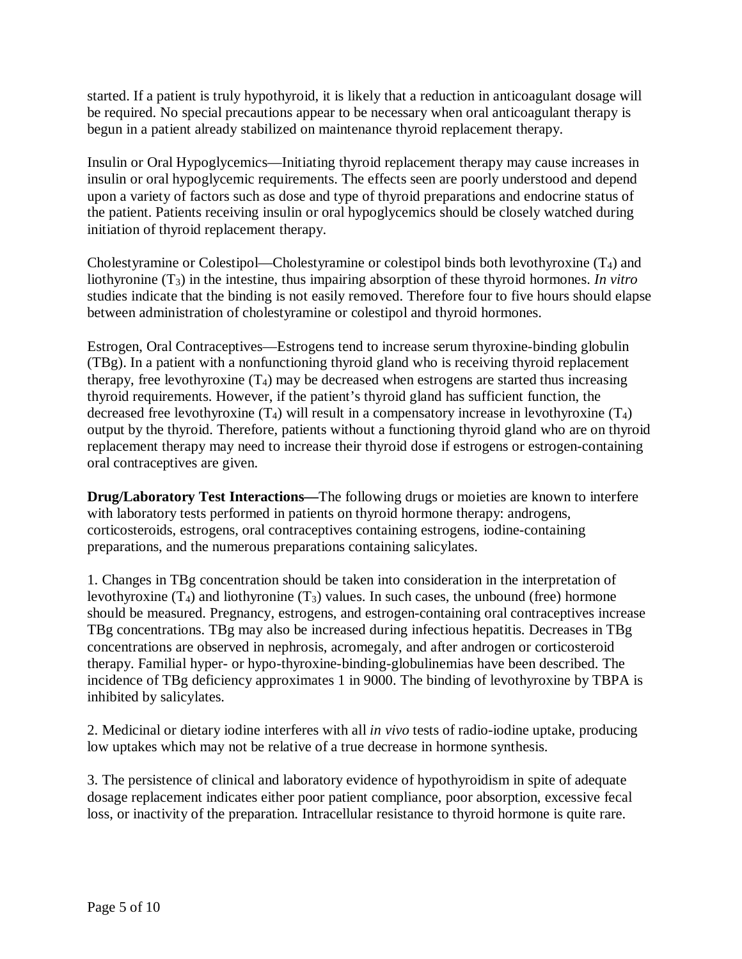started. If a patient is truly hypothyroid, it is likely that a reduction in anticoagulant dosage will be required. No special precautions appear to be necessary when oral anticoagulant therapy is begun in a patient already stabilized on maintenance thyroid replacement therapy.

Insulin or Oral Hypoglycemics—Initiating thyroid replacement therapy may cause increases in insulin or oral hypoglycemic requirements. The effects seen are poorly understood and depend upon a variety of factors such as dose and type of thyroid preparations and endocrine status of the patient. Patients receiving insulin or oral hypoglycemics should be closely watched during initiation of thyroid replacement therapy.

Cholestyramine or Colestipol—Cholestyramine or colestipol binds both levothyroxine  $(T_4)$  and liothyronine (T<sub>3</sub>) in the intestine, thus impairing absorption of these thyroid hormones. *In vitro* studies indicate that the binding is not easily removed. Therefore four to five hours should elapse between administration of cholestyramine or colestipol and thyroid hormones.

Estrogen, Oral Contraceptives—Estrogens tend to increase serum thyroxine-binding globulin (TBg). In a patient with a nonfunctioning thyroid gland who is receiving thyroid replacement therapy, free levothyroxine  $(T_4)$  may be decreased when estrogens are started thus increasing thyroid requirements. However, if the patient's thyroid gland has sufficient function, the decreased free levothyroxine  $(T_4)$  will result in a compensatory increase in levothyroxine  $(T_4)$ output by the thyroid. Therefore, patients without a functioning thyroid gland who are on thyroid replacement therapy may need to increase their thyroid dose if estrogens or estrogen-containing oral contraceptives are given.

**Drug/Laboratory Test Interactions—**The following drugs or moieties are known to interfere with laboratory tests performed in patients on thyroid hormone therapy: androgens, corticosteroids, estrogens, oral contraceptives containing estrogens, iodine-containing preparations, and the numerous preparations containing salicylates.

1. Changes in TBg concentration should be taken into consideration in the interpretation of levothyroxine  $(T_4)$  and liothyronine  $(T_3)$  values. In such cases, the unbound (free) hormone should be measured. Pregnancy, estrogens, and estrogen-containing oral contraceptives increase TBg concentrations. TBg may also be increased during infectious hepatitis. Decreases in TBg concentrations are observed in nephrosis, acromegaly, and after androgen or corticosteroid therapy. Familial hyper- or hypo-thyroxine-binding-globulinemias have been described. The incidence of TBg deficiency approximates 1 in 9000. The binding of levothyroxine by TBPA is inhibited by salicylates.

2. Medicinal or dietary iodine interferes with all *in vivo* tests of radio-iodine uptake, producing low uptakes which may not be relative of a true decrease in hormone synthesis.

3. The persistence of clinical and laboratory evidence of hypothyroidism in spite of adequate dosage replacement indicates either poor patient compliance, poor absorption, excessive fecal loss, or inactivity of the preparation. Intracellular resistance to thyroid hormone is quite rare.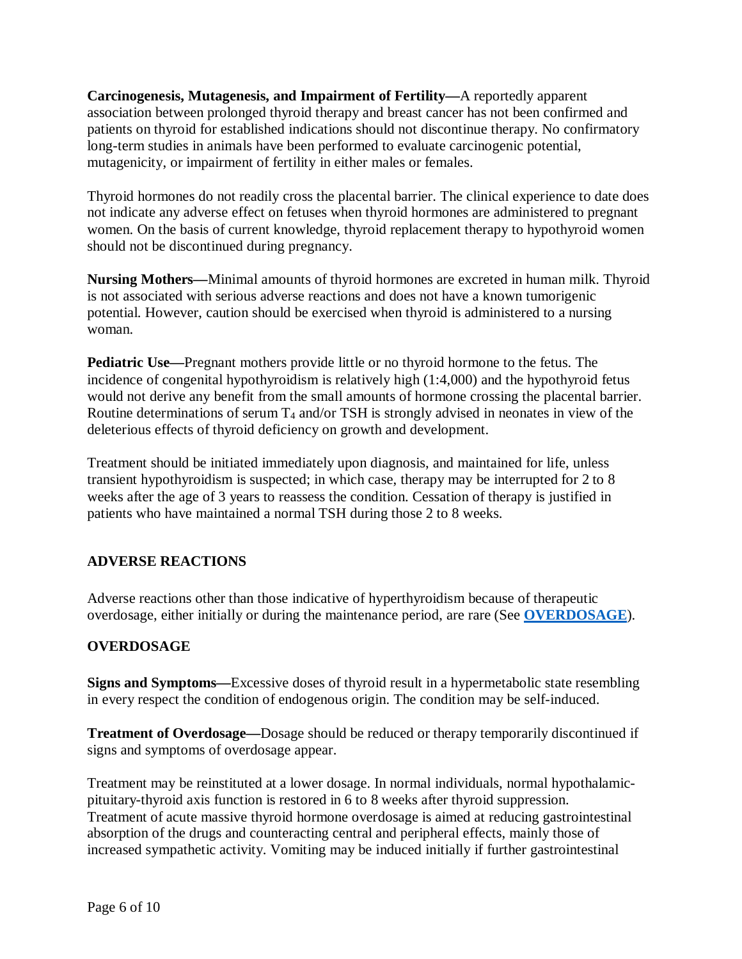**Carcinogenesis, Mutagenesis, and Impairment of Fertility—**A reportedly apparent association between prolonged thyroid therapy and breast cancer has not been confirmed and patients on thyroid for established indications should not discontinue therapy. No confirmatory long-term studies in animals have been performed to evaluate carcinogenic potential, mutagenicity, or impairment of fertility in either males or females.

Thyroid hormones do not readily cross the placental barrier. The clinical experience to date does not indicate any adverse effect on fetuses when thyroid hormones are administered to pregnant women. On the basis of current knowledge, thyroid replacement therapy to hypothyroid women should not be discontinued during pregnancy.

**Nursing Mothers—**Minimal amounts of thyroid hormones are excreted in human milk. Thyroid is not associated with serious adverse reactions and does not have a known tumorigenic potential. However, caution should be exercised when thyroid is administered to a nursing woman.

**Pediatric Use—**Pregnant mothers provide little or no thyroid hormone to the fetus. The incidence of congenital hypothyroidism is relatively high (1:4,000) and the hypothyroid fetus would not derive any benefit from the small amounts of hormone crossing the placental barrier. Routine determinations of serum  $T_4$  and/or TSH is strongly advised in neonates in view of the deleterious effects of thyroid deficiency on growth and development.

Treatment should be initiated immediately upon diagnosis, and maintained for life, unless transient hypothyroidism is suspected; in which case, therapy may be interrupted for 2 to 8 weeks after the age of 3 years to reassess the condition. Cessation of therapy is justified in patients who have maintained a normal TSH during those 2 to 8 weeks.

### **ADVERSE REACTIONS**

Adverse reactions other than those indicative of hyperthyroidism because of therapeutic overdosage, either initially or during the maintenance period, are rare (See **[OVERDOSAGE](#page-5-0)**).

### <span id="page-5-0"></span>**OVERDOSAGE**

**Signs and Symptoms—**Excessive doses of thyroid result in a hypermetabolic state resembling in every respect the condition of endogenous origin. The condition may be self-induced.

**Treatment of Overdosage—**Dosage should be reduced or therapy temporarily discontinued if signs and symptoms of overdosage appear.

Treatment may be reinstituted at a lower dosage. In normal individuals, normal hypothalamicpituitary-thyroid axis function is restored in 6 to 8 weeks after thyroid suppression. Treatment of acute massive thyroid hormone overdosage is aimed at reducing gastrointestinal absorption of the drugs and counteracting central and peripheral effects, mainly those of increased sympathetic activity. Vomiting may be induced initially if further gastrointestinal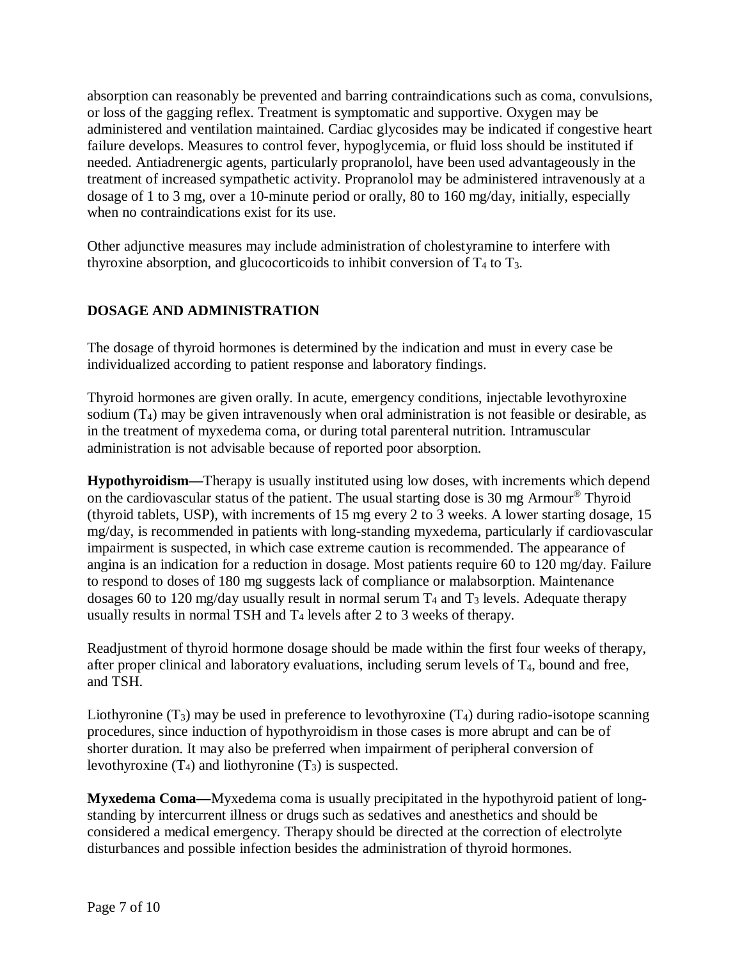absorption can reasonably be prevented and barring contraindications such as coma, convulsions, or loss of the gagging reflex. Treatment is symptomatic and supportive. Oxygen may be administered and ventilation maintained. Cardiac glycosides may be indicated if congestive heart failure develops. Measures to control fever, hypoglycemia, or fluid loss should be instituted if needed. Antiadrenergic agents, particularly propranolol, have been used advantageously in the treatment of increased sympathetic activity. Propranolol may be administered intravenously at a dosage of 1 to 3 mg, over a 10-minute period or orally, 80 to 160 mg/day, initially, especially when no contraindications exist for its use.

Other adjunctive measures may include administration of cholestyramine to interfere with thyroxine absorption, and glucocorticoids to inhibit conversion of  $T_4$  to  $T_3$ .

## <span id="page-6-0"></span>**DOSAGE AND ADMINISTRATION**

The dosage of thyroid hormones is determined by the indication and must in every case be individualized according to patient response and laboratory findings.

Thyroid hormones are given orally. In acute, emergency conditions, injectable levothyroxine sodium  $(T_4)$  may be given intravenously when oral administration is not feasible or desirable, as in the treatment of myxedema coma, or during total parenteral nutrition. Intramuscular administration is not advisable because of reported poor absorption.

**Hypothyroidism—**Therapy is usually instituted using low doses, with increments which depend on the cardiovascular status of the patient. The usual starting dose is 30 mg Armour® Thyroid (thyroid tablets, USP), with increments of 15 mg every 2 to 3 weeks. A lower starting dosage, 15 mg/day, is recommended in patients with long-standing myxedema, particularly if cardiovascular impairment is suspected, in which case extreme caution is recommended. The appearance of angina is an indication for a reduction in dosage. Most patients require 60 to 120 mg/day. Failure to respond to doses of 180 mg suggests lack of compliance or malabsorption. Maintenance dosages 60 to 120 mg/day usually result in normal serum  $T_4$  and  $T_3$  levels. Adequate therapy usually results in normal TSH and  $T_4$  levels after 2 to 3 weeks of therapy.

Readjustment of thyroid hormone dosage should be made within the first four weeks of therapy, after proper clinical and laboratory evaluations, including serum levels of  $T_4$ , bound and free, and TSH.

Liothyronine  $(T_3)$  may be used in preference to levothyroxine  $(T_4)$  during radio-isotope scanning procedures, since induction of hypothyroidism in those cases is more abrupt and can be of shorter duration. It may also be preferred when impairment of peripheral conversion of levothyroxine  $(T_4)$  and liothyronine  $(T_3)$  is suspected.

**Myxedema Coma—**Myxedema coma is usually precipitated in the hypothyroid patient of longstanding by intercurrent illness or drugs such as sedatives and anesthetics and should be considered a medical emergency. Therapy should be directed at the correction of electrolyte disturbances and possible infection besides the administration of thyroid hormones.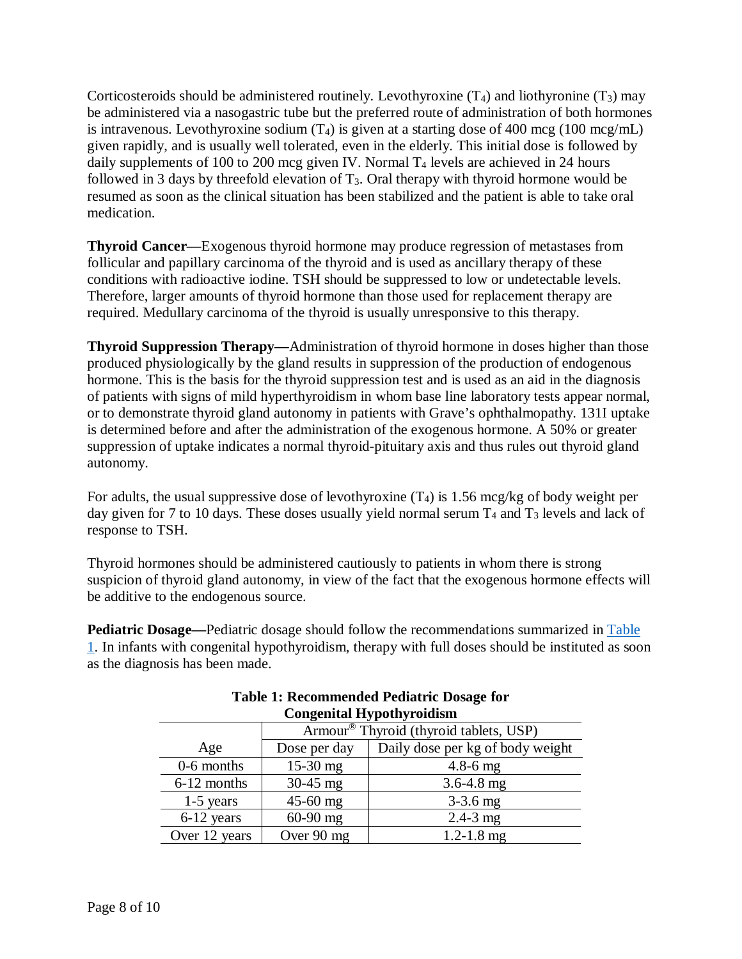Corticosteroids should be administered routinely. Levothyroxine  $(T_4)$  and liothyronine  $(T_3)$  may be administered via a nasogastric tube but the preferred route of administration of both hormones is intravenous. Levothyroxine sodium  $(T_4)$  is given at a starting dose of 400 mcg (100 mcg/mL) given rapidly, and is usually well tolerated, even in the elderly. This initial dose is followed by daily supplements of 100 to 200 mcg given IV. Normal  $T_4$  levels are achieved in 24 hours followed in 3 days by threefold elevation of  $T_3$ . Oral therapy with thyroid hormone would be resumed as soon as the clinical situation has been stabilized and the patient is able to take oral medication.

**Thyroid Cancer—**Exogenous thyroid hormone may produce regression of metastases from follicular and papillary carcinoma of the thyroid and is used as ancillary therapy of these conditions with radioactive iodine. TSH should be suppressed to low or undetectable levels. Therefore, larger amounts of thyroid hormone than those used for replacement therapy are required. Medullary carcinoma of the thyroid is usually unresponsive to this therapy.

**Thyroid Suppression Therapy—**Administration of thyroid hormone in doses higher than those produced physiologically by the gland results in suppression of the production of endogenous hormone. This is the basis for the thyroid suppression test and is used as an aid in the diagnosis of patients with signs of mild hyperthyroidism in whom base line laboratory tests appear normal, or to demonstrate thyroid gland autonomy in patients with Grave's ophthalmopathy. 131I uptake is determined before and after the administration of the exogenous hormone. A 50% or greater suppression of uptake indicates a normal thyroid-pituitary axis and thus rules out thyroid gland autonomy.

For adults, the usual suppressive dose of levothyroxine  $(T_4)$  is 1.56 mcg/kg of body weight per day given for 7 to 10 days. These doses usually yield normal serum  $T_4$  and  $T_3$  levels and lack of response to TSH.

Thyroid hormones should be administered cautiously to patients in whom there is strong suspicion of thyroid gland autonomy, in view of the fact that the exogenous hormone effects will be additive to the endogenous source.

**Pediatric Dosage—**Pediatric dosage should follow the recommendations summarized in [Table](#page-7-0)  [1.](#page-7-0) In infants with congenital hypothyroidism, therapy with full doses should be instituted as soon as the diagnosis has been made.

<span id="page-7-0"></span>

| <b>Congenital Hypothyroidism</b> |                                        |                                  |  |
|----------------------------------|----------------------------------------|----------------------------------|--|
|                                  | Armour® Thyroid (thyroid tablets, USP) |                                  |  |
| Age                              | Dose per day                           | Daily dose per kg of body weight |  |
| 0-6 months                       | $15-30$ mg                             | $4.8 - 6$ mg                     |  |
| 6-12 months                      | $30-45$ mg                             | $3.6 - 4.8$ mg                   |  |
| $1-5$ years                      | $45 - 60$ mg                           | $3-3.6$ mg                       |  |
| 6-12 years                       | $60-90$ mg                             | $2.4 - 3$ mg                     |  |
| Over 12 years                    | Over 90 mg                             | $1.2 - 1.8$ mg                   |  |

# **Table 1: Recommended Pediatric Dosage for**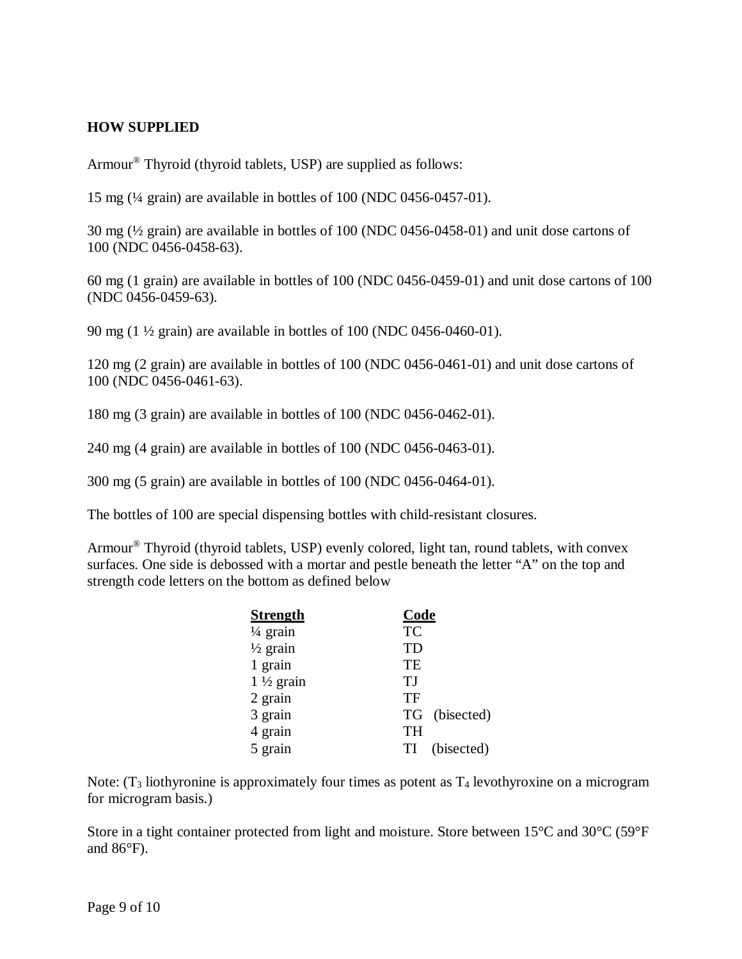#### **HOW SUPPLIED**

Armour® Thyroid (thyroid tablets, USP) are supplied as follows:

15 mg (¼ grain) are available in bottles of 100 (NDC 0456-0457-01).

30 mg (½ grain) are available in bottles of 100 (NDC 0456-0458-01) and unit dose cartons of 100 (NDC 0456-0458-63).

60 mg (1 grain) are available in bottles of 100 (NDC 0456-0459-01) and unit dose cartons of 100 (NDC 0456-0459-63).

90 mg (1 ½ grain) are available in bottles of 100 (NDC 0456-0460-01).

120 mg (2 grain) are available in bottles of 100 (NDC 0456-0461-01) and unit dose cartons of 100 (NDC 0456-0461-63).

180 mg (3 grain) are available in bottles of 100 (NDC 0456-0462-01).

240 mg (4 grain) are available in bottles of 100 (NDC 0456-0463-01).

300 mg (5 grain) are available in bottles of 100 (NDC 0456-0464-01).

The bottles of 100 are special dispensing bottles with child-resistant closures.

Armour® Thyroid (thyroid tablets, USP) evenly colored, light tan, round tablets, with convex surfaces. One side is debossed with a mortar and pestle beneath the letter "A" on the top and strength code letters on the bottom as defined below

| <b>Strength</b>      | Code             |
|----------------------|------------------|
| $\frac{1}{4}$ grain  | <b>TC</b>        |
| $\frac{1}{2}$ grain  | TD               |
| 1 grain              | TE               |
| $1\frac{1}{2}$ grain | TJ               |
| 2 grain              | TF               |
| 3 grain              | TG (bisected)    |
| 4 grain              | TH               |
| 5 grain              | (bisected)<br>ТI |

Note:  $(T_3$  liothyronine is approximately four times as potent as  $T_4$  levothyroxine on a microgram for microgram basis.)

Store in a tight container protected from light and moisture. Store between 15°C and 30°C (59°F and 86°F).